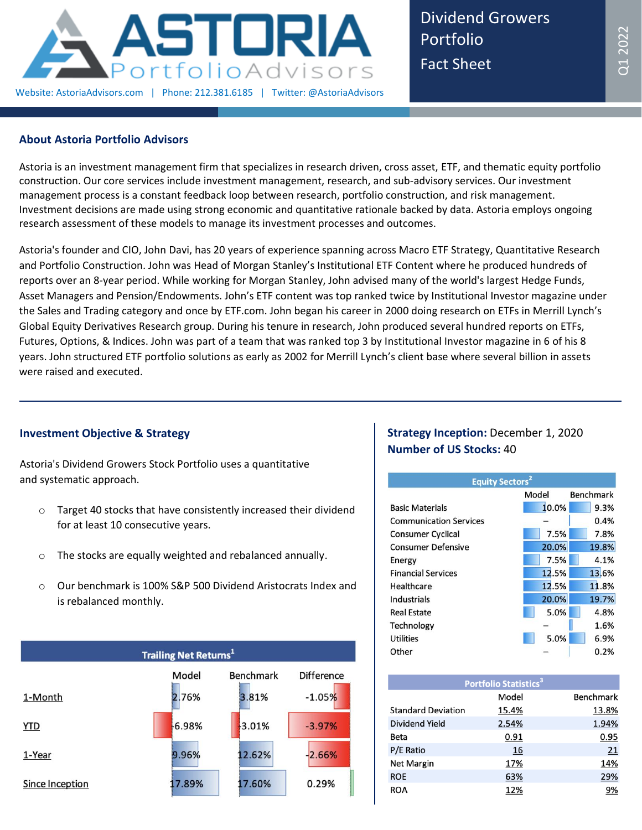

Dividend Growers Portfolio Fact Sheet

## **About Astoria Portfolio Advisors**

Astoria is an investment management firm that specializes in research driven, cross asset, ETF, and thematic equity portfolio construction. Our core services include investment management, research, and sub-advisory services. Our investment management process is a constant feedback loop between research, portfolio construction, and risk management. Investment decisions are made using strong economic and quantitative rationale backed by data. Astoria employs ongoing research assessment of these models to manage its investment processes and outcomes.

Astoria's founder and CIO, John Davi, has 20 years of experience spanning across Macro ETF Strategy, Quantitative Research and Portfolio Construction. John was Head of Morgan Stanley's Institutional ETF Content where he produced hundreds of reports over an 8-year period. While working for Morgan Stanley, John advised many of the world's largest Hedge Funds, Asset Managers and Pension/Endowments. John's ETF content was top ranked twice by Institutional Investor magazine under the Sales and Trading category and once by ETF.com. John began his career in 2000 doing research on ETFs in Merrill Lynch's Global Equity Derivatives Research group. During his tenure in research, John produced several hundred reports on ETFs, Futures, Options, & Indices. John was part of a team that was ranked top 3 by Institutional Investor magazine in 6 of his 8 years. John structured ETF portfolio solutions as early as 2002 for Merrill Lynch's client base where several billion in assets were raised and executed.

## **Investment Objective & Strategy**

Astoria's Dividend Growers Stock Portfolio uses a quantitative and systematic approach.

- o Target 40 stocks that have consistently increased their dividend for at least 10 consecutive years.
- o The stocks are equally weighted and rebalanced annually.
- o Our benchmark is 100% S&P 500 Dividend Aristocrats Index and is rebalanced monthly.



# **Strategy Inception:** December 1, 2020 **Number of US Stocks:** 40

| <b>Equity Sectors<sup>2</sup></b> |       |                  |  |  |  |  |  |
|-----------------------------------|-------|------------------|--|--|--|--|--|
|                                   | Model | <b>Benchmark</b> |  |  |  |  |  |
| <b>Basic Materials</b>            | 10.0% | 9.3%             |  |  |  |  |  |
| <b>Communication Services</b>     |       | 0.4%             |  |  |  |  |  |
| <b>Consumer Cyclical</b>          | 7.5%  | 7.8%             |  |  |  |  |  |
| <b>Consumer Defensive</b>         | 20.0% | 19.8%            |  |  |  |  |  |
| Energy                            | 7.5%  | 4.1%             |  |  |  |  |  |
| <b>Financial Services</b>         | 12.5% | 13.6%            |  |  |  |  |  |
| Healthcare                        | 12.5% | 11.8%            |  |  |  |  |  |
| Industrials                       | 20.0% | 19.7%            |  |  |  |  |  |
| <b>Real Estate</b>                | 5.0%  | 4.8%             |  |  |  |  |  |
| Technology                        |       | 1.6%             |  |  |  |  |  |
| <b>Utilities</b>                  | 5.0%  | 6.9%             |  |  |  |  |  |
| Other                             |       | 0.2%             |  |  |  |  |  |

| Portfolio Statistics <sup>3</sup> |       |                  |  |  |  |  |  |  |
|-----------------------------------|-------|------------------|--|--|--|--|--|--|
|                                   | Model | <b>Benchmark</b> |  |  |  |  |  |  |
| <b>Standard Deviation</b>         | 15.4% | 13.8%            |  |  |  |  |  |  |
| Dividend Yield                    | 2.54% | 1.94%            |  |  |  |  |  |  |
| Beta                              | 0.91  | 0.95             |  |  |  |  |  |  |
| P/E Ratio                         | 16    | 21               |  |  |  |  |  |  |
| <b>Net Margin</b>                 | 17%   | 14%              |  |  |  |  |  |  |
| <b>ROE</b>                        | 63%   | 29%              |  |  |  |  |  |  |
| ROA                               | 12%   | 9%               |  |  |  |  |  |  |